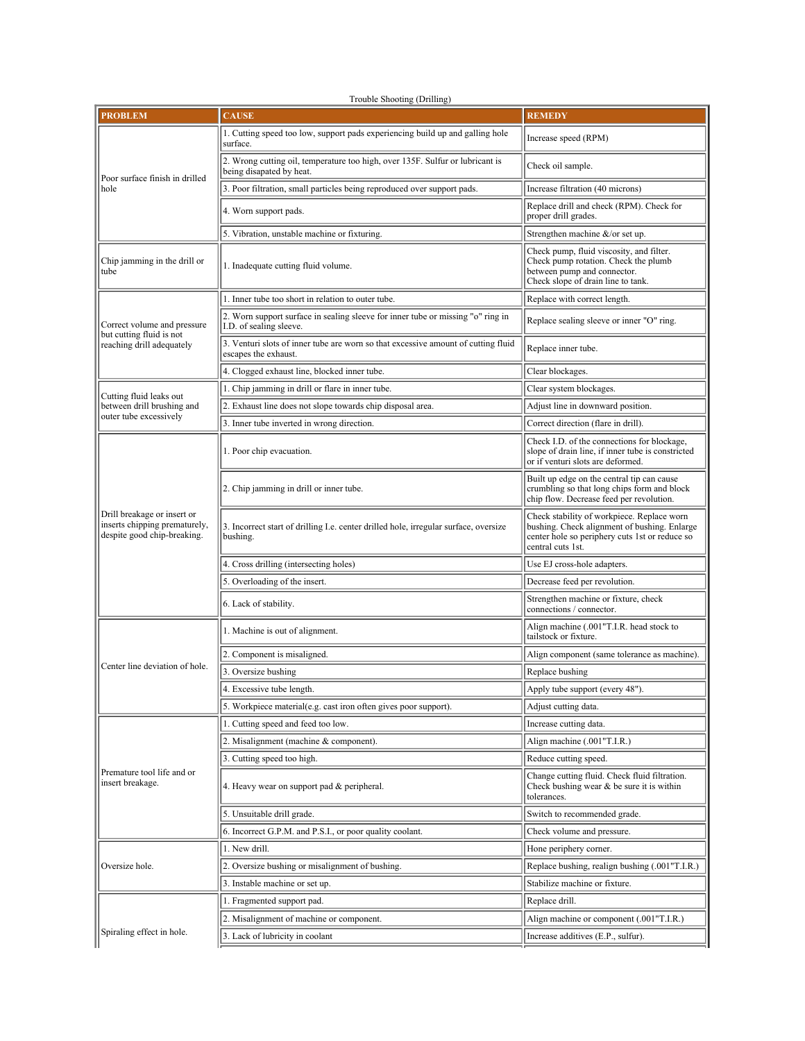Trouble Shooting (Drilling)

| <b>PROBLEM</b>                                                                                                                                                                 | <b>CAUSE</b>                                                                                               | <b>REMEDY</b>                                                                                                                                                     |
|--------------------------------------------------------------------------------------------------------------------------------------------------------------------------------|------------------------------------------------------------------------------------------------------------|-------------------------------------------------------------------------------------------------------------------------------------------------------------------|
| Poor surface finish in drilled<br>hole                                                                                                                                         | 1. Cutting speed too low, support pads experiencing build up and galling hole<br>surface.                  | Increase speed (RPM)                                                                                                                                              |
|                                                                                                                                                                                | 2. Wrong cutting oil, temperature too high, over 135F. Sulfur or lubricant is<br>being disapated by heat.  | Check oil sample.                                                                                                                                                 |
|                                                                                                                                                                                | 3. Poor filtration, small particles being reproduced over support pads.                                    | Increase filtration (40 microns)                                                                                                                                  |
|                                                                                                                                                                                | 4. Worn support pads.                                                                                      | Replace drill and check (RPM). Check for<br>proper drill grades.                                                                                                  |
|                                                                                                                                                                                | 5. Vibration, unstable machine or fixturing.                                                               | Strengthen machine $\&$ /or set up.                                                                                                                               |
| Chip jamming in the drill or<br>tube                                                                                                                                           | 1. Inadequate cutting fluid volume.                                                                        | Check pump, fluid viscosity, and filter.<br>Check pump rotation. Check the plumb<br>between pump and connector.<br>Check slope of drain line to tank.             |
|                                                                                                                                                                                | 1. Inner tube too short in relation to outer tube.                                                         | Replace with correct length.                                                                                                                                      |
| Correct volume and pressure<br>but cutting fluid is not<br>reaching drill adequately                                                                                           | 2. Worn support surface in sealing sleeve for inner tube or missing "o" ring in<br>I.D. of sealing sleeve. | Replace sealing sleeve or inner "O" ring.                                                                                                                         |
|                                                                                                                                                                                | 3. Venturi slots of inner tube are worn so that excessive amount of cutting fluid<br>escapes the exhaust.  | Replace inner tube.                                                                                                                                               |
|                                                                                                                                                                                | 4. Clogged exhaust line, blocked inner tube.                                                               | Clear blockages.                                                                                                                                                  |
| Cutting fluid leaks out<br>between drill brushing and<br>outer tube excessively<br>Drill breakage or insert or<br>inserts chipping prematurely,<br>despite good chip-breaking. | 1. Chip jamming in drill or flare in inner tube.                                                           | Clear system blockages.                                                                                                                                           |
|                                                                                                                                                                                | 2. Exhaust line does not slope towards chip disposal area.                                                 | Adjust line in downward position.                                                                                                                                 |
|                                                                                                                                                                                | 3. Inner tube inverted in wrong direction.                                                                 | Correct direction (flare in drill).                                                                                                                               |
|                                                                                                                                                                                | 1. Poor chip evacuation.                                                                                   | Check I.D. of the connections for blockage.<br>slope of drain line, if inner tube is constricted<br>or if venturi slots are deformed.                             |
|                                                                                                                                                                                | 2. Chip jamming in drill or inner tube.                                                                    | Built up edge on the central tip can cause<br>crumbling so that long chips form and block<br>chip flow. Decrease feed per revolution.                             |
|                                                                                                                                                                                | 3. Incorrect start of drilling I.e. center drilled hole, irregular surface, oversize<br>bushing.           | Check stability of workpiece. Replace worn<br>bushing. Check alignment of bushing. Enlarge<br>center hole so periphery cuts 1st or reduce so<br>central cuts 1st. |
|                                                                                                                                                                                | 4. Cross drilling (intersecting holes)                                                                     | Use EJ cross-hole adapters.                                                                                                                                       |
|                                                                                                                                                                                | 5. Overloading of the insert.                                                                              | Decrease feed per revolution.                                                                                                                                     |
|                                                                                                                                                                                | 6. Lack of stability.                                                                                      | Strengthen machine or fixture, check<br>connections / connector.                                                                                                  |
|                                                                                                                                                                                | 1. Machine is out of alignment.                                                                            | Align machine (.001"T.I.R. head stock to<br>tailstock or fixture.                                                                                                 |
|                                                                                                                                                                                | 2. Component is misaligned.                                                                                | Align component (same tolerance as machine).                                                                                                                      |
| Center line deviation of hole.                                                                                                                                                 | 3. Oversize bushing                                                                                        | Replace bushing                                                                                                                                                   |
|                                                                                                                                                                                | 4. Excessive tube length.                                                                                  | Apply tube support (every 48").                                                                                                                                   |
|                                                                                                                                                                                | 5. Workpiece material(e.g. cast iron often gives poor support).                                            | Adjust cutting data.                                                                                                                                              |
|                                                                                                                                                                                | 1. Cutting speed and feed too low.                                                                         | Increase cutting data.                                                                                                                                            |
|                                                                                                                                                                                | 2. Misalignment (machine & component).                                                                     | Align machine (.001"T.I.R.)                                                                                                                                       |
| Premature tool life and or<br>insert breakage.                                                                                                                                 | 3. Cutting speed too high.                                                                                 | Reduce cutting speed.                                                                                                                                             |
|                                                                                                                                                                                | 4. Heavy wear on support pad & peripheral.                                                                 | Change cutting fluid. Check fluid filtration.<br>Check bushing wear $\&$ be sure it is within<br>tolerances.                                                      |
|                                                                                                                                                                                | 5. Unsuitable drill grade.                                                                                 | Switch to recommended grade.                                                                                                                                      |
|                                                                                                                                                                                | 6. Incorrect G.P.M. and P.S.I., or poor quality coolant.                                                   | Check volume and pressure.                                                                                                                                        |
|                                                                                                                                                                                | 1. New drill.                                                                                              | Hone periphery corner.                                                                                                                                            |
| Oversize hole.                                                                                                                                                                 | 2. Oversize bushing or misalignment of bushing.                                                            | Replace bushing, realign bushing (.001"T.I.R.)                                                                                                                    |
|                                                                                                                                                                                | 3. Instable machine or set up.                                                                             | Stabilize machine or fixture.                                                                                                                                     |
|                                                                                                                                                                                | 1. Fragmented support pad.                                                                                 | Replace drill.                                                                                                                                                    |
|                                                                                                                                                                                | 2. Misalignment of machine or component.                                                                   | Align machine or component (.001"T.I.R.)                                                                                                                          |
| Spiraling effect in hole.                                                                                                                                                      | 3. Lack of lubricity in coolant                                                                            | Increase additives (E.P., sulfur).                                                                                                                                |
|                                                                                                                                                                                |                                                                                                            |                                                                                                                                                                   |